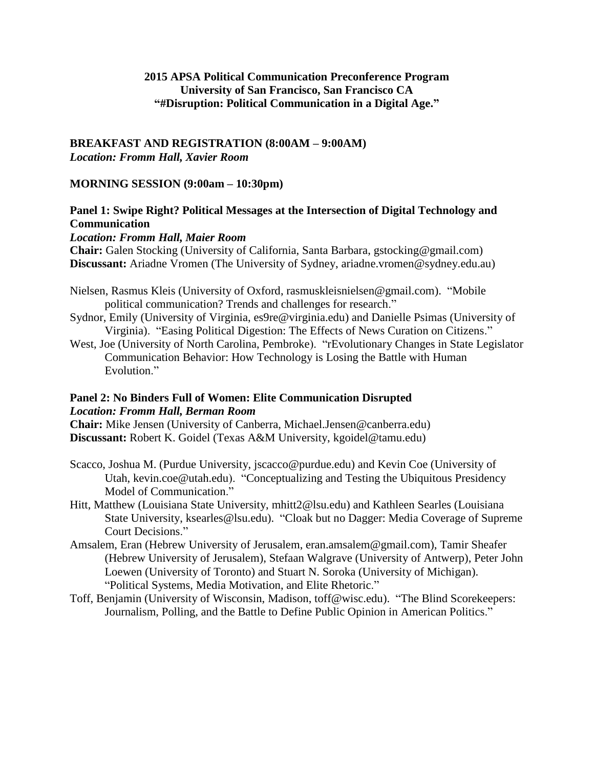### **2015 APSA Political Communication Preconference Program University of San Francisco, San Francisco CA "#Disruption: Political Communication in a Digital Age."**

#### **BREAKFAST AND REGISTRATION (8:00AM – 9:00AM)** *Location: Fromm Hall, Xavier Room*

#### **MORNING SESSION (9:00am – 10:30pm)**

## **Panel 1: Swipe Right? Political Messages at the Intersection of Digital Technology and Communication**

#### *Location: Fromm Hall, Maier Room*

**Chair:** Galen Stocking (University of California, Santa Barbara, gstocking@gmail.com) **Discussant:** Ariadne Vromen (The University of Sydney, ariadne.vromen@sydney.edu.au)

- Nielsen, Rasmus Kleis (University of Oxford, rasmuskleisnielsen@gmail.com). "Mobile political communication? Trends and challenges for research."
- Sydnor, Emily (University of Virginia, es9re@virginia.edu) and Danielle Psimas (University of Virginia). "Easing Political Digestion: The Effects of News Curation on Citizens."
- West, Joe (University of North Carolina, Pembroke). "rEvolutionary Changes in State Legislator Communication Behavior: How Technology is Losing the Battle with Human Evolution<sup>"</sup>

## **Panel 2: No Binders Full of Women: Elite Communication Disrupted**  *Location: Fromm Hall, Berman Room*

**Chair:** Mike Jensen (University of Canberra, Michael.Jensen@canberra.edu) **Discussant:** Robert K. Goidel (Texas A&M University, kgoidel@tamu.edu)

- Scacco, Joshua M. (Purdue University, jscacco@purdue.edu) and Kevin Coe (University of Utah, kevin.coe@utah.edu). "Conceptualizing and Testing the Ubiquitous Presidency Model of Communication."
- Hitt, Matthew (Louisiana State University, mhitt2@lsu.edu) and Kathleen Searles (Louisiana State University, ksearles@lsu.edu). "Cloak but no Dagger: Media Coverage of Supreme Court Decisions."
- Amsalem, Eran (Hebrew University of Jerusalem, eran.amsalem@gmail.com), Tamir Sheafer (Hebrew University of Jerusalem), Stefaan Walgrave (University of Antwerp), Peter John Loewen (University of Toronto) and Stuart N. Soroka (University of Michigan). "Political Systems, Media Motivation, and Elite Rhetoric."
- Toff, Benjamin (University of Wisconsin, Madison, toff@wisc.edu). "The Blind Scorekeepers: Journalism, Polling, and the Battle to Define Public Opinion in American Politics."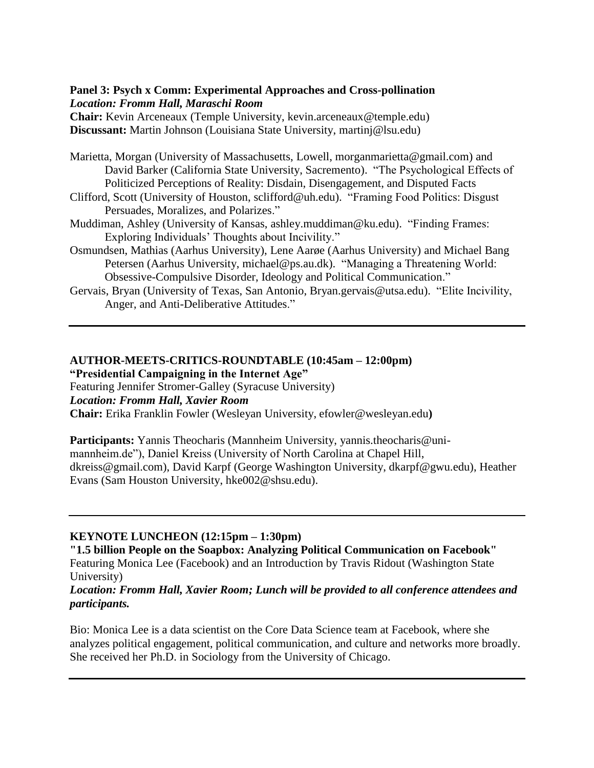### **Panel 3: Psych x Comm: Experimental Approaches and Cross-pollination** *Location: Fromm Hall, Maraschi Room*

**Chair:** Kevin Arceneaux (Temple University, kevin.arceneaux@temple.edu) **Discussant:** Martin Johnson (Louisiana State University, martinj@lsu.edu)

Marietta, Morgan (University of Massachusetts, Lowell, morganmarietta@gmail.com) and David Barker (California State University, Sacremento). "The Psychological Effects of Politicized Perceptions of Reality: Disdain, Disengagement, and Disputed Facts

- Clifford, Scott (University of Houston, sclifford@uh.edu). "Framing Food Politics: Disgust Persuades, Moralizes, and Polarizes."
- Muddiman, Ashley (University of Kansas, ashley.muddiman@ku.edu). "Finding Frames: Exploring Individuals' Thoughts about Incivility."
- Osmundsen, Mathias (Aarhus University), Lene Aarøe (Aarhus University) and Michael Bang Petersen (Aarhus University, michael@ps.au.dk). "Managing a Threatening World: Obsessive-Compulsive Disorder, Ideology and Political Communication."
- Gervais, Bryan (University of Texas, San Antonio, Bryan.gervais@utsa.edu). "Elite Incivility, Anger, and Anti-Deliberative Attitudes."

#### **AUTHOR-MEETS-CRITICS-ROUNDTABLE (10:45am – 12:00pm) "Presidential Campaigning in the Internet Age"**

Featuring Jennifer Stromer-Galley (Syracuse University) *Location: Fromm Hall, Xavier Room* **Chair:** Erika Franklin Fowler (Wesleyan University, efowler@wesleyan.edu**)**

**Participants:** Yannis Theocharis (Mannheim University, yannis.theocharis@unimannheim.de"), Daniel Kreiss (University of North Carolina at Chapel Hill, dkreiss@gmail.com), David Karpf (George Washington University, dkarpf@gwu.edu), Heather Evans (Sam Houston University, hke002@shsu.edu).

# **KEYNOTE LUNCHEON (12:15pm – 1:30pm)**

**"1.5 billion People on the Soapbox: Analyzing Political Communication on Facebook"** Featuring Monica Lee (Facebook) and an Introduction by Travis Ridout (Washington State University)

## *Location: Fromm Hall, Xavier Room; Lunch will be provided to all conference attendees and participants.*

Bio: Monica Lee is a data scientist on the Core Data Science team at Facebook, where she analyzes political engagement, political communication, and culture and networks more broadly. She received her Ph.D. in Sociology from the University of Chicago.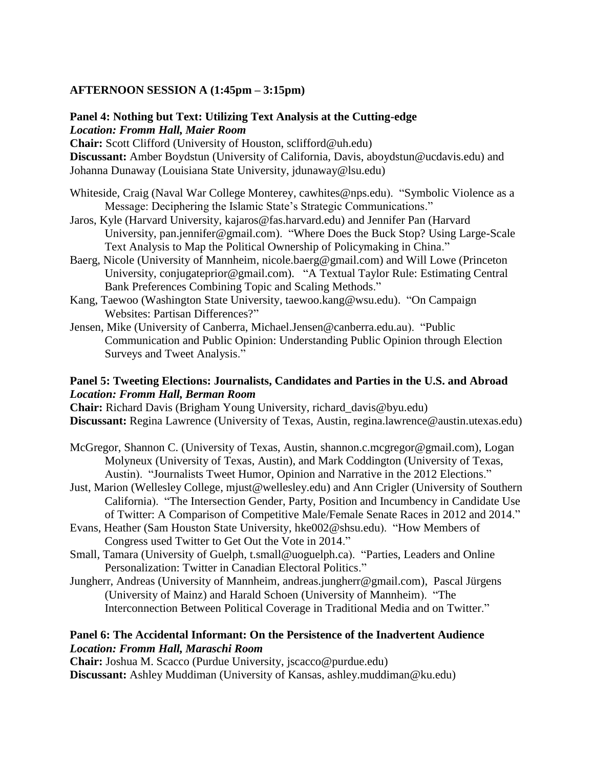# **AFTERNOON SESSION A (1:45pm – 3:15pm)**

## **Panel 4: Nothing but Text: Utilizing Text Analysis at the Cutting-edge** *Location: Fromm Hall, Maier Room*

**Chair:** Scott Clifford (University of Houston, sclifford@uh.edu) **Discussant:** Amber Boydstun (University of California, Davis, aboydstun@ucdavis.edu) and Johanna Dunaway (Louisiana State University, jdunaway@lsu.edu)

- Whiteside, Craig (Naval War College Monterey, cawhites@nps.edu). "Symbolic Violence as a Message: Deciphering the Islamic State's Strategic Communications."
- Jaros, Kyle (Harvard University, kajaros@fas.harvard.edu) and Jennifer Pan (Harvard University, pan.jennifer@gmail.com). "Where Does the Buck Stop? Using Large-Scale Text Analysis to Map the Political Ownership of Policymaking in China."
- Baerg, Nicole (University of Mannheim, nicole.baerg@gmail.com) and Will Lowe (Princeton University, conjugateprior@gmail.com). "A Textual Taylor Rule: Estimating Central Bank Preferences Combining Topic and Scaling Methods."
- Kang, Taewoo (Washington State University, taewoo.kang@wsu.edu). "On Campaign Websites: Partisan Differences?"
- Jensen, Mike (University of Canberra, Michael.Jensen@canberra.edu.au). "Public Communication and Public Opinion: Understanding Public Opinion through Election Surveys and Tweet Analysis."

### **Panel 5: Tweeting Elections: Journalists, Candidates and Parties in the U.S. and Abroad** *Location: Fromm Hall, Berman Room*

**Chair:** Richard Davis (Brigham Young University, richard\_davis@byu.edu) **Discussant:** Regina Lawrence (University of Texas, Austin, regina.lawrence@austin.utexas.edu)

- McGregor, Shannon C. (University of Texas, Austin, shannon.c.mcgregor@gmail.com), Logan Molyneux (University of Texas, Austin), and Mark Coddington (University of Texas, Austin). "Journalists Tweet Humor, Opinion and Narrative in the 2012 Elections."
- Just, Marion (Wellesley College, mjust@wellesley.edu) and Ann Crigler (University of Southern California). "The Intersection Gender, Party, Position and Incumbency in Candidate Use of Twitter: A Comparison of Competitive Male/Female Senate Races in 2012 and 2014."
- Evans, Heather (Sam Houston State University, hke002@shsu.edu). "How Members of Congress used Twitter to Get Out the Vote in 2014."
- Small, Tamara (University of Guelph, t.small@uoguelph.ca). "Parties, Leaders and Online Personalization: Twitter in Canadian Electoral Politics."
- Jungherr, Andreas (University of Mannheim, andreas.jungherr@gmail.com), Pascal Jürgens (University of Mainz) and Harald Schoen (University of Mannheim). "The Interconnection Between Political Coverage in Traditional Media and on Twitter."

### **Panel 6: The Accidental Informant: On the Persistence of the Inadvertent Audience** *Location: Fromm Hall, Maraschi Room*

**Chair:** Joshua M. Scacco (Purdue University, jscacco@purdue.edu) **Discussant:** Ashley Muddiman (University of Kansas, ashley.muddiman@ku.edu)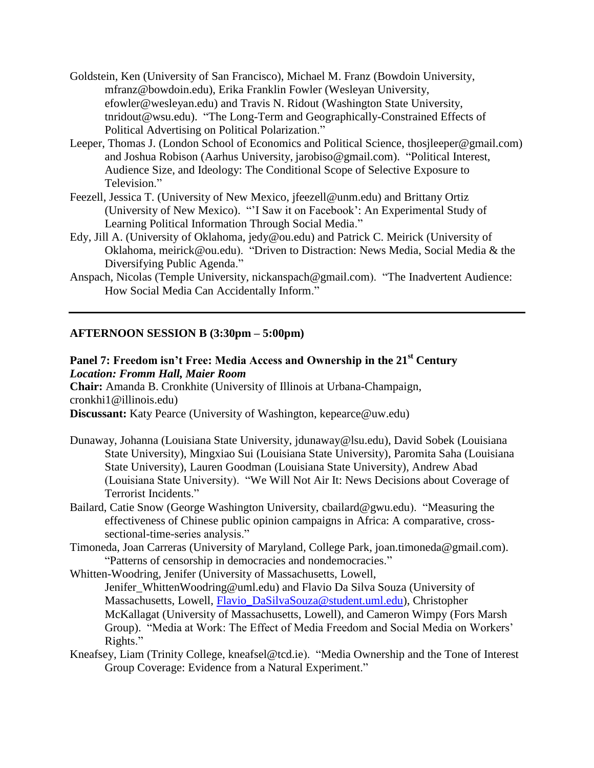- Goldstein, Ken (University of San Francisco), Michael M. Franz (Bowdoin University, mfranz@bowdoin.edu), Erika Franklin Fowler (Wesleyan University, efowler@wesleyan.edu) and Travis N. Ridout (Washington State University, tnridout@wsu.edu). "The Long-Term and Geographically-Constrained Effects of Political Advertising on Political Polarization."
- Leeper, Thomas J. (London School of Economics and Political Science, thosjleeper@gmail.com) and Joshua Robison (Aarhus University, jarobiso@gmail.com). "Political Interest, Audience Size, and Ideology: The Conditional Scope of Selective Exposure to Television."
- Feezell, Jessica T. (University of New Mexico, jfeezell@unm.edu) and Brittany Ortiz (University of New Mexico). "'I Saw it on Facebook': An Experimental Study of Learning Political Information Through Social Media."
- Edy, Jill A. (University of Oklahoma, jedy@ou.edu) and Patrick C. Meirick (University of Oklahoma, meirick@ou.edu). "Driven to Distraction: News Media, Social Media & the Diversifying Public Agenda."
- Anspach, Nicolas (Temple University, nickanspach@gmail.com). "The Inadvertent Audience: How Social Media Can Accidentally Inform."

## **AFTERNOON SESSION B (3:30pm – 5:00pm)**

# **Panel 7: Freedom isn't Free: Media Access and Ownership in the 21st Century** *Location: Fromm Hall, Maier Room*

**Chair:** Amanda B. Cronkhite (University of Illinois at Urbana-Champaign, cronkhi1@illinois.edu)

**Discussant:** Katy Pearce (University of Washington, kepearce@uw.edu)

- Dunaway, Johanna (Louisiana State University, jdunaway@lsu.edu), David Sobek (Louisiana State University), Mingxiao Sui (Louisiana State University), Paromita Saha (Louisiana State University), Lauren Goodman (Louisiana State University), Andrew Abad (Louisiana State University). "We Will Not Air It: News Decisions about Coverage of Terrorist Incidents."
- Bailard, Catie Snow (George Washington University, cbailard@gwu.edu). "Measuring the effectiveness of Chinese public opinion campaigns in Africa: A comparative, crosssectional-time-series analysis."
- Timoneda, Joan Carreras (University of Maryland, College Park, joan.timoneda@gmail.com). "Patterns of censorship in democracies and nondemocracies."
- Whitten-Woodring, Jenifer (University of Massachusetts, Lowell, Jenifer WhittenWoodring@uml.edu) and Flavio Da Silva Souza (University of Massachusetts, Lowell, Flavio DaSilvaSouza@student.uml.edu), Christopher McKallagat (University of Massachusetts, Lowell), and Cameron Wimpy (Fors Marsh Group). "Media at Work: The Effect of Media Freedom and Social Media on Workers' Rights."
- Kneafsey, Liam (Trinity College, kneafsel@tcd.ie). "Media Ownership and the Tone of Interest Group Coverage: Evidence from a Natural Experiment."